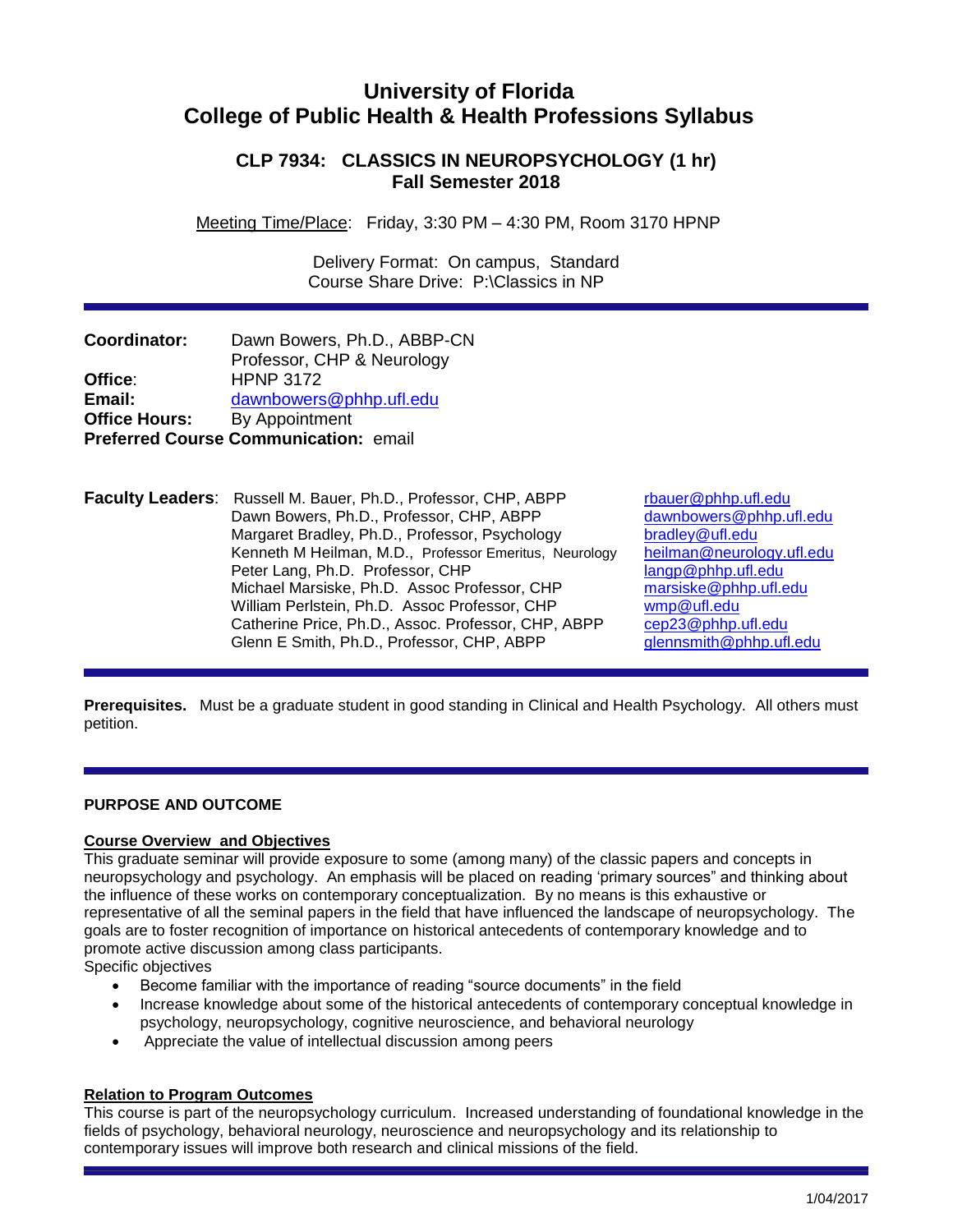# **University of Florida College of Public Health & Health Professions Syllabus**

# **CLP 7934: CLASSICS IN NEUROPSYCHOLOGY (1 hr) Fall Semester 2018**

Meeting Time/Place: Friday, 3:30 PM – 4:30 PM, Room 3170 HPNP

 Delivery Format: On campus, Standard Course Share Drive: P:\Classics in NP

| Coordinator:         | Dawn Bowers, Ph.D., ABBP-CN                  |
|----------------------|----------------------------------------------|
|                      | Professor, CHP & Neurology                   |
| Office:              | <b>HPNP 3172</b>                             |
| Email:               | dawnbowers@phhp.ufl.edu                      |
| <b>Office Hours:</b> | By Appointment                               |
|                      | <b>Preferred Course Communication: email</b> |

**Faculty Leaders:** Russell M. Bauer, Ph.D., Professor, CHP, ABPP [rbauer@phhp.ufl.edu](mailto:rbauer@phhp.ufl.edu) Dawn Bowers, Ph.D., Professor, CHP, ABPP [dawnbowers@phhp.ufl.edu](mailto:dawnbowers@phhp.ufl.edu) Margaret Bradley, Ph.D., Professor, Psychology bradley@ufl.edu Kenneth M Heilman, M.D., Professor Emeritus, Neurology [heilman@neurology.ufl.edu](mailto:heilman@neurology.ufl.edu) Peter Lang, Ph.D. Professor, CHP [langp@phhp.ufl.edu](mailto:langp@phhp.ufl.edu) Michael Marsiske, Ph.D. Assoc Professor, CHP [marsiske@phhp.ufl.edu](mailto:marsiske@phhp.ufl.edu) William Perlstein, Ph.D. Assoc Professor, CHP [wmp@ufl.edu](mailto:wmp@ufl.edu) Catherine Price, Ph.D., Assoc. Professor, CHP, ABPP [cep23@phhp.ufl.edu](mailto:cep23@phhp.ufl.edu)<br>Glenn E Smith, Ph.D., Professor, CHP, ABPP qlennsmith@phhp.ufl.edu Glenn E Smith, Ph.D., Professor, CHP, ABPP

**Prerequisites.** Must be a graduate student in good standing in Clinical and Health Psychology. All others must petition.

# **PURPOSE AND OUTCOME**

# **Course Overview and Objectives**

This graduate seminar will provide exposure to some (among many) of the classic papers and concepts in neuropsychology and psychology. An emphasis will be placed on reading 'primary sources" and thinking about the influence of these works on contemporary conceptualization. By no means is this exhaustive or representative of all the seminal papers in the field that have influenced the landscape of neuropsychology. The goals are to foster recognition of importance on historical antecedents of contemporary knowledge and to promote active discussion among class participants.

Specific objectives

- Become familiar with the importance of reading "source documents" in the field
- Increase knowledge about some of the historical antecedents of contemporary conceptual knowledge in psychology, neuropsychology, cognitive neuroscience, and behavioral neurology
- Appreciate the value of intellectual discussion among peers

# **Relation to Program Outcomes**

This course is part of the neuropsychology curriculum. Increased understanding of foundational knowledge in the fields of psychology, behavioral neurology, neuroscience and neuropsychology and its relationship to contemporary issues will improve both research and clinical missions of the field.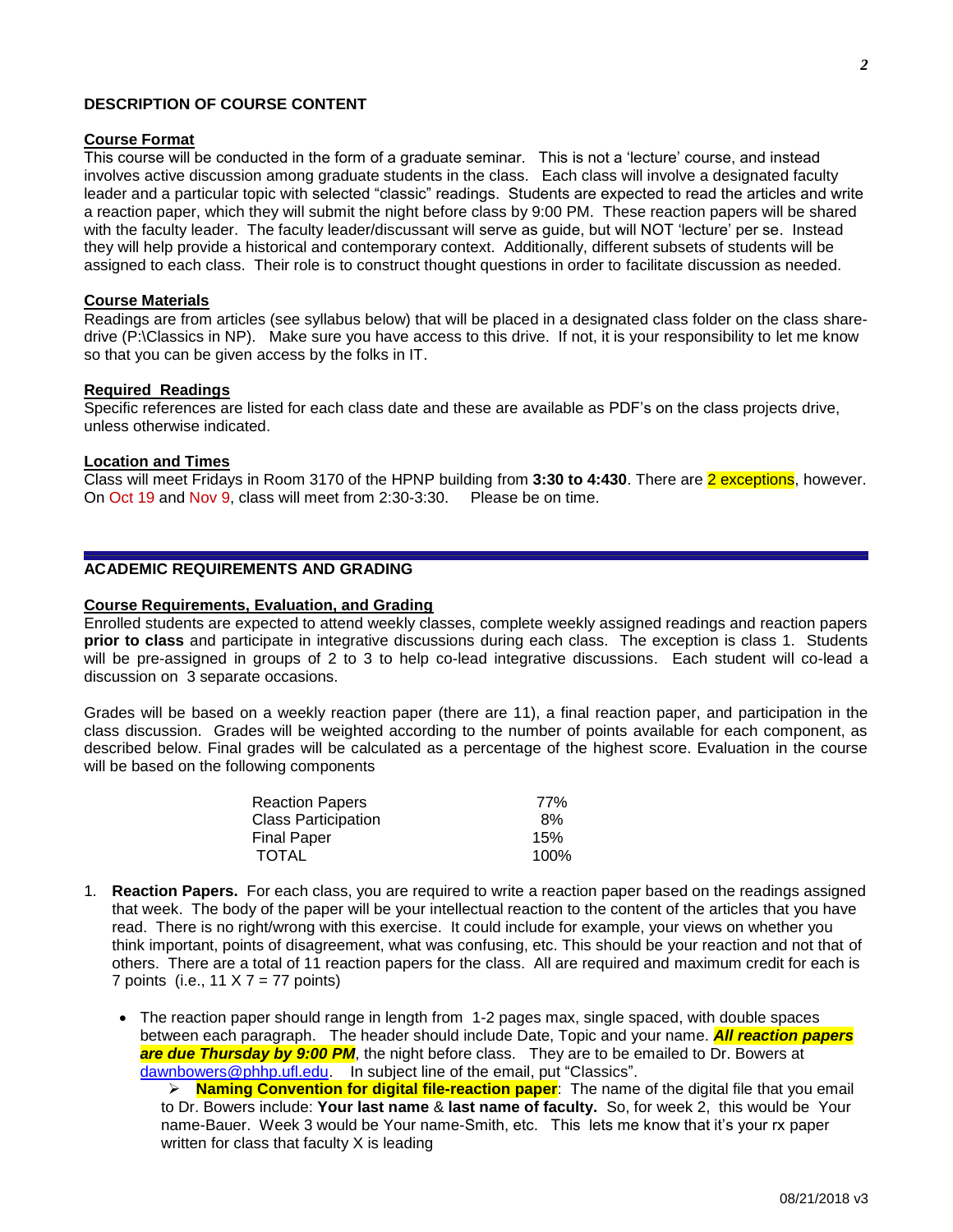08/21/2018 v3

## **DESCRIPTION OF COURSE CONTENT**

#### **Course Format**

This course will be conducted in the form of a graduate seminar. This is not a 'lecture' course, and instead involves active discussion among graduate students in the class. Each class will involve a designated faculty leader and a particular topic with selected "classic" readings. Students are expected to read the articles and write a reaction paper, which they will submit the night before class by 9:00 PM. These reaction papers will be shared with the faculty leader. The faculty leader/discussant will serve as guide, but will NOT 'lecture' per se. Instead they will help provide a historical and contemporary context. Additionally, different subsets of students will be assigned to each class. Their role is to construct thought questions in order to facilitate discussion as needed.

### **Course Materials**

Readings are from articles (see syllabus below) that will be placed in a designated class folder on the class sharedrive (P:\Classics in NP). Make sure you have access to this drive. If not, it is your responsibility to let me know so that you can be given access by the folks in IT.

#### **Required Readings**

Specific references are listed for each class date and these are available as PDF's on the class projects drive, unless otherwise indicated.

## **Location and Times**

Class will meet Fridays in Room 3170 of the HPNP building from **3:30 to 4:430**. There are 2 exceptions, however. On Oct 19 and Nov 9, class will meet from 2:30-3:30. Please be on time.

## **ACADEMIC REQUIREMENTS AND GRADING**

#### **Course Requirements, Evaluation, and Grading**

Enrolled students are expected to attend weekly classes, complete weekly assigned readings and reaction papers **prior to class** and participate in integrative discussions during each class. The exception is class 1. Students will be pre-assigned in groups of 2 to 3 to help co-lead integrative discussions. Each student will co-lead a discussion on 3 separate occasions.

Grades will be based on a weekly reaction paper (there are 11), a final reaction paper, and participation in the class discussion. Grades will be weighted according to the number of points available for each component, as described below. Final grades will be calculated as a percentage of the highest score. Evaluation in the course will be based on the following components

| <b>Reaction Papers</b>     | 77%  |
|----------------------------|------|
| <b>Class Participation</b> | 8%   |
| <b>Final Paper</b>         | 15%  |
| <b>TOTAL</b>               | 100% |

1. **Reaction Papers.** For each class, you are required to write a reaction paper based on the readings assigned that week. The body of the paper will be your intellectual reaction to the content of the articles that you have read. There is no right/wrong with this exercise. It could include for example, your views on whether you think important, points of disagreement, what was confusing, etc. This should be your reaction and not that of others. There are a total of 11 reaction papers for the class. All are required and maximum credit for each is 7 points (i.e.,  $11 \times 7 = 77$  points)

• The reaction paper should range in length from 1-2 pages max, single spaced, with double spaces between each paragraph. The header should include Date, Topic and your name. *All reaction papers*  **are due Thursday by 9:00 PM**, the night before class. They are to be emailed to Dr. Bowers at [dawnbowers@phhp.ufl.edu.](mailto:dawnbowers@phhp.ufl.edu) In subject line of the email, put "Classics".

 **Naming Convention for digital file-reaction paper**: The name of the digital file that you email to Dr. Bowers include: **Your last name** & **last name of faculty.** So, for week 2, this would be Your name-Bauer. Week 3 would be Your name-Smith, etc. This lets me know that it's your rx paper written for class that faculty X is leading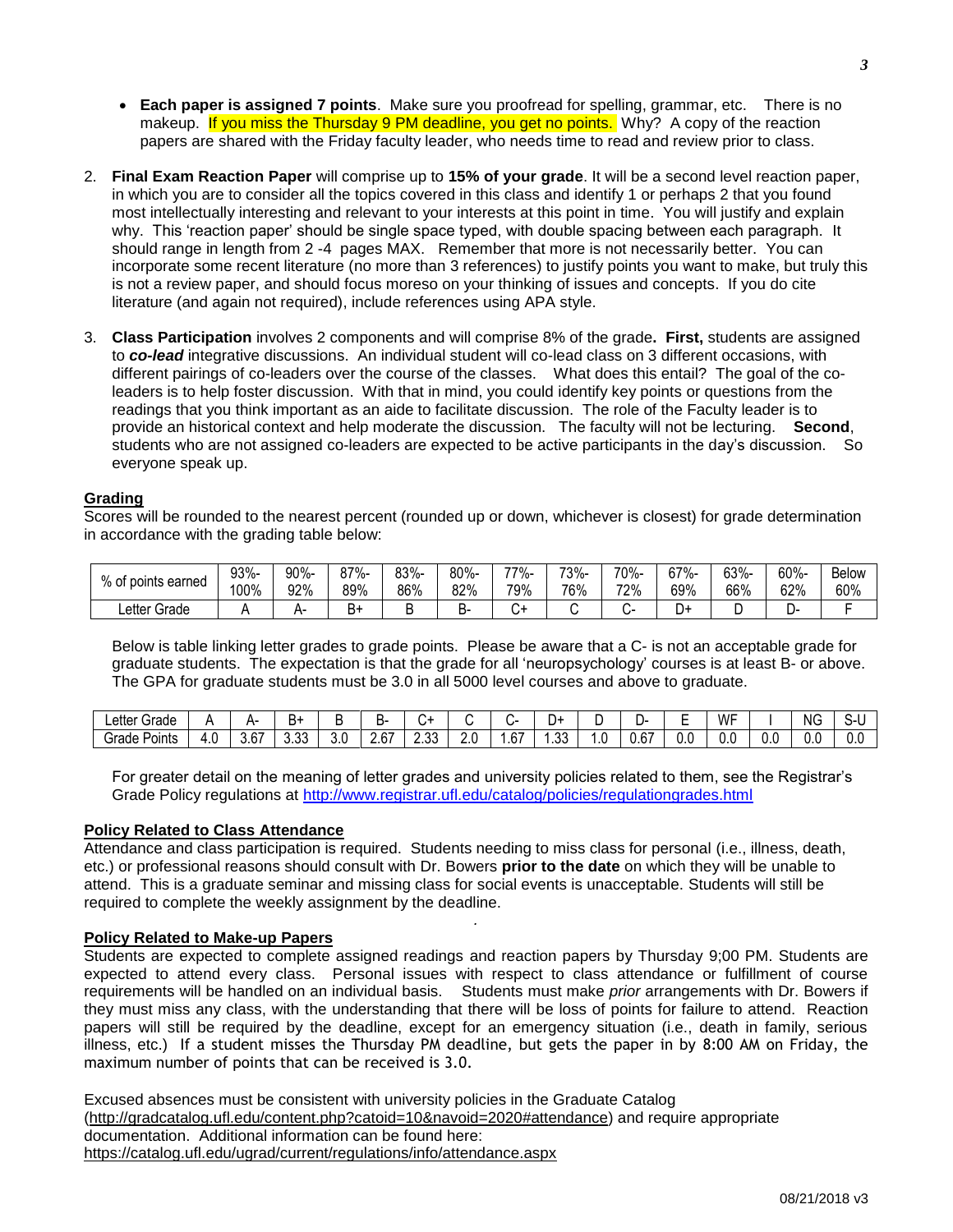- **Each paper is assigned 7 points**. Make sure you proofread for spelling, grammar, etc. There is no makeup. If you miss the Thursday 9 PM deadline, you get no points. Why? A copy of the reaction papers are shared with the Friday faculty leader, who needs time to read and review prior to class.
- 2. **Final Exam Reaction Paper** will comprise up to **15% of your grade**. It will be a second level reaction paper, in which you are to consider all the topics covered in this class and identify 1 or perhaps 2 that you found most intellectually interesting and relevant to your interests at this point in time. You will justify and explain why. This 'reaction paper' should be single space typed, with double spacing between each paragraph. It should range in length from 2 -4 pages MAX. Remember that more is not necessarily better. You can incorporate some recent literature (no more than 3 references) to justify points you want to make, but truly this is not a review paper, and should focus moreso on your thinking of issues and concepts. If you do cite literature (and again not required), include references using APA style.
- 3. **Class Participation** involves 2 components and will comprise 8% of the grade**. First,** students are assigned to *co-lead* integrative discussions. An individual student will co-lead class on 3 different occasions, with different pairings of co-leaders over the course of the classes. What does this entail? The goal of the coleaders is to help foster discussion. With that in mind, you could identify key points or questions from the readings that you think important as an aide to facilitate discussion. The role of the Faculty leader is to provide an historical context and help moderate the discussion. The faculty will not be lecturing. **Second**, students who are not assigned co-leaders are expected to be active participants in the day's discussion. So everyone speak up.

### **Grading**

Scores will be rounded to the nearest percent (rounded up or down, whichever is closest) for grade determination in accordance with the grading table below:

| % of points earned | 93%- | 90%- |     | 83%- | 80%- | -77% | 73%- | 70%- | 67%- | 63%- | 60%- | <b>Below</b> |
|--------------------|------|------|-----|------|------|------|------|------|------|------|------|--------------|
|                    | 100% | 92%  | 89% | 86%  | 82%  | 79%  | 76%  | 72%  | 69%  | 66%  | 62%  | 60%          |
| Letter Grade       |      |      | יכ  |      |      |      |      |      | - س  | ►    | ┕    |              |

Below is table linking letter grades to grade points. Please be aware that a C- is not an acceptable grade for graduate students. The expectation is that the grade for all 'neuropsychology' courses is at least B- or above. The GPA for graduate students must be 3.0 in all 5000 level courses and above to graduate.

| Letter <sup>1</sup><br>~<br>Grade |     |                | .<br>Ħ٦        | . . | ┑.                          | ◡             |     |               | +ر         |    | , ,                  | -<br>- | WF<br>. |     | N <sub>G</sub> |     |
|-----------------------------------|-----|----------------|----------------|-----|-----------------------------|---------------|-----|---------------|------------|----|----------------------|--------|---------|-----|----------------|-----|
| -<br>Points<br>Grade              | 4.U | $\sim$<br>3.6/ | $\sim$<br>ບ.ບບ | v.v | $\sim$<br>$\sim$ . $\cup$ . | $\sim$<br>د.ں | 2.0 | $\sim$<br>.67 | ົາງ<br>ں ل | .v | $\sim$<br>ı.<br>יס.ט | 0.0    | υ.      | U.C | - 4<br>O.C     | U.U |

For greater detail on the meaning of letter grades and university policies related to them, see the Registrar's Grade Policy regulations at<http://www.registrar.ufl.edu/catalog/policies/regulationgrades.html>

#### **Policy Related to Class Attendance**

Attendance and class participation is required. Students needing to miss class for personal (i.e., illness, death, etc.) or professional reasons should consult with Dr. Bowers **prior to the date** on which they will be unable to attend. This is a graduate seminar and missing class for social events is unacceptable. Students will still be required to complete the weekly assignment by the deadline.

*.*

#### **Policy Related to Make-up Papers**

Students are expected to complete assigned readings and reaction papers by Thursday 9;00 PM. Students are expected to attend every class. Personal issues with respect to class attendance or fulfillment of course requirements will be handled on an individual basis. Students must make *prior* arrangements with Dr. Bowers if they must miss any class, with the understanding that there will be loss of points for failure to attend. Reaction papers will still be required by the deadline, except for an emergency situation (i.e., death in family, serious illness, etc.) If a student misses the Thursday PM deadline, but gets the paper in by 8:00 AM on Friday, the maximum number of points that can be received is 3.0.

Excused absences must be consistent with university policies in the Graduate Catalog [\(http://gradcatalog.ufl.edu/content.php?catoid=10&navoid=2020#attendance\)](http://gradcatalog.ufl.edu/content.php?catoid=10&navoid=2020#attendance) and require appropriate documentation. Additional information can be found here: <https://catalog.ufl.edu/ugrad/current/regulations/info/attendance.aspx>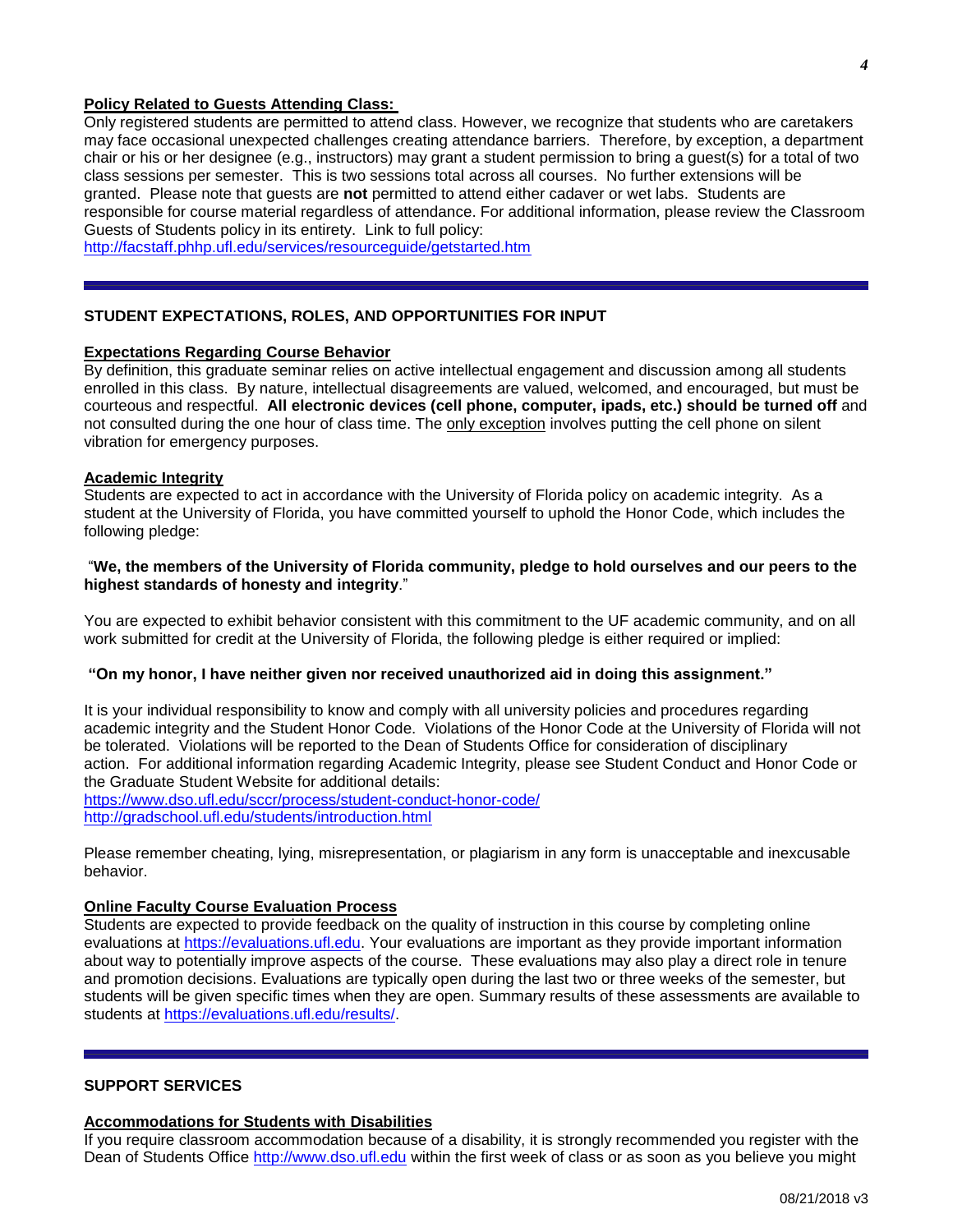### **Policy Related to Guests Attending Class:**

Only registered students are permitted to attend class. However, we recognize that students who are caretakers may face occasional unexpected challenges creating attendance barriers. Therefore, by exception, a department chair or his or her designee (e.g., instructors) may grant a student permission to bring a guest(s) for a total of two class sessions per semester. This is two sessions total across all courses. No further extensions will be granted. Please note that guests are **not** permitted to attend either cadaver or wet labs. Students are responsible for course material regardless of attendance. For additional information, please review the Classroom Guests of Students policy in its entirety. Link to full policy:

<http://facstaff.phhp.ufl.edu/services/resourceguide/getstarted.htm>

# **STUDENT EXPECTATIONS, ROLES, AND OPPORTUNITIES FOR INPUT**

### **Expectations Regarding Course Behavior**

By definition, this graduate seminar relies on active intellectual engagement and discussion among all students enrolled in this class. By nature, intellectual disagreements are valued, welcomed, and encouraged, but must be courteous and respectful. **All electronic devices (cell phone, computer, ipads, etc.) should be turned off** and not consulted during the one hour of class time. The only exception involves putting the cell phone on silent vibration for emergency purposes.

### **Academic Integrity**

Students are expected to act in accordance with the University of Florida policy on academic integrity. As a student at the University of Florida, you have committed yourself to uphold the Honor Code, which includes the following pledge:

### "We, the members of the University of Florida community, pledge to hold ourselves and our peers to the **highest standards of honesty and integrity**."

You are expected to exhibit behavior consistent with this commitment to the UF academic community, and on all work submitted for credit at the University of Florida, the following pledge is either required or implied:

### **"On my honor, I have neither given nor received unauthorized aid in doing this assignment."**

It is your individual responsibility to know and comply with all university policies and procedures regarding academic integrity and the Student Honor Code. Violations of the Honor Code at the University of Florida will not be tolerated. Violations will be reported to the Dean of Students Office for consideration of disciplinary action. For additional information regarding Academic Integrity, please see Student Conduct and Honor Code or the Graduate Student Website for additional details: <https://www.dso.ufl.edu/sccr/process/student-conduct-honor-code/>

<http://gradschool.ufl.edu/students/introduction.html>

Please remember cheating, lying, misrepresentation, or plagiarism in any form is unacceptable and inexcusable behavior.

### **Online Faculty Course Evaluation Process**

Students are expected to provide feedback on the quality of instruction in this course by completing online evaluations at [https://evaluations.ufl.edu.](https://evaluations.ufl.edu/) Your evaluations are important as they provide important information about way to potentially improve aspects of the course. These evaluations may also play a direct role in tenure and promotion decisions. Evaluations are typically open during the last two or three weeks of the semester, but students will be given specific times when they are open. Summary results of these assessments are available to students at [https://evaluations.ufl.edu/results/.](https://evaluations.ufl.edu/results/)

### **SUPPORT SERVICES**

### **Accommodations for Students with Disabilities**

If you require classroom accommodation because of a disability, it is strongly recommended you register with the Dean of Students Office [http://www.dso.ufl.edu](http://www.dso.ufl.edu/) within the first week of class or as soon as you believe you might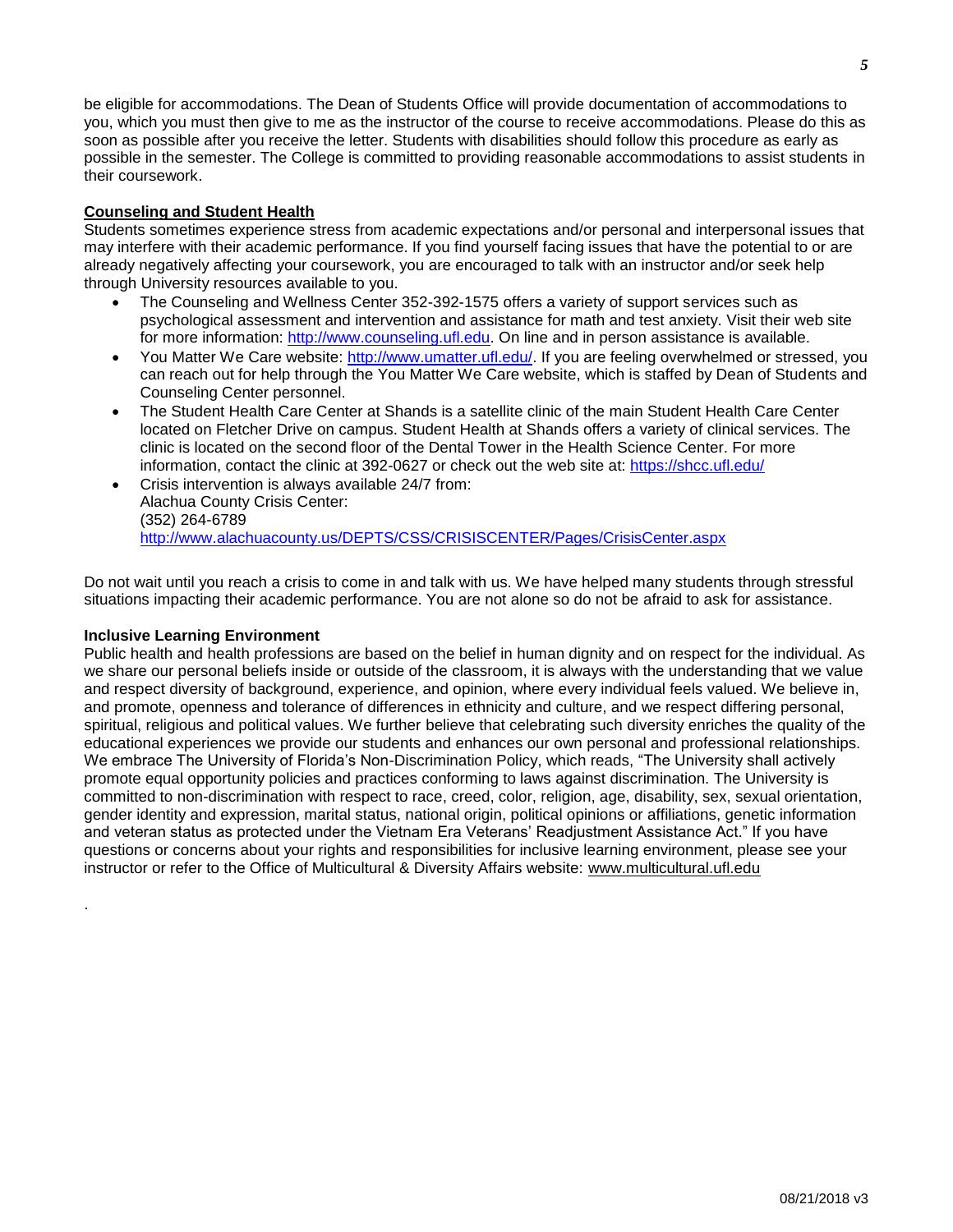be eligible for accommodations. The Dean of Students Office will provide documentation of accommodations to you, which you must then give to me as the instructor of the course to receive accommodations. Please do this as soon as possible after you receive the letter. Students with disabilities should follow this procedure as early as possible in the semester. The College is committed to providing reasonable accommodations to assist students in their coursework.

### **Counseling and Student Health**

Students sometimes experience stress from academic expectations and/or personal and interpersonal issues that may interfere with their academic performance. If you find yourself facing issues that have the potential to or are already negatively affecting your coursework, you are encouraged to talk with an instructor and/or seek help through University resources available to you.

- The Counseling and Wellness Center 352-392-1575 offers a variety of support services such as psychological assessment and intervention and assistance for math and test anxiety. Visit their web site for more information: [http://www.counseling.ufl.edu.](http://www.counseling.ufl.edu/) On line and in person assistance is available.
- You Matter We Care website: [http://www.umatter.ufl.edu/.](http://www.umatter.ufl.edu/) If you are feeling overwhelmed or stressed, you can reach out for help through the You Matter We Care website, which is staffed by Dean of Students and Counseling Center personnel.
- The Student Health Care Center at Shands is a satellite clinic of the main Student Health Care Center located on Fletcher Drive on campus. Student Health at Shands offers a variety of clinical services. The clinic is located on the second floor of the Dental Tower in the Health Science Center. For more information, contact the clinic at 392-0627 or check out the web site at: <https://shcc.ufl.edu/>
- Crisis intervention is always available 24/7 from: Alachua County Crisis Center: (352) 264-6789 <http://www.alachuacounty.us/DEPTS/CSS/CRISISCENTER/Pages/CrisisCenter.aspx>

Do not wait until you reach a crisis to come in and talk with us. We have helped many students through stressful situations impacting their academic performance. You are not alone so do not be afraid to ask for assistance.

### **Inclusive Learning Environment**

.

Public health and health professions are based on the belief in human dignity and on respect for the individual. As we share our personal beliefs inside or outside of the classroom, it is always with the understanding that we value and respect diversity of background, experience, and opinion, where every individual feels valued. We believe in, and promote, openness and tolerance of differences in ethnicity and culture, and we respect differing personal, spiritual, religious and political values. We further believe that celebrating such diversity enriches the quality of the educational experiences we provide our students and enhances our own personal and professional relationships. We embrace The University of Florida's Non-Discrimination Policy, which reads, "The University shall actively promote equal opportunity policies and practices conforming to laws against discrimination. The University is committed to non-discrimination with respect to race, creed, color, religion, age, disability, sex, sexual orientation, gender identity and expression, marital status, national origin, political opinions or affiliations, genetic information and veteran status as protected under the Vietnam Era Veterans' Readjustment Assistance Act." If you have questions or concerns about your rights and responsibilities for inclusive learning environment, please see your instructor or refer to the Office of Multicultural & Diversity Affairs website: [www.multicultural.ufl.edu](http://www.multicultural.ufl.edu/)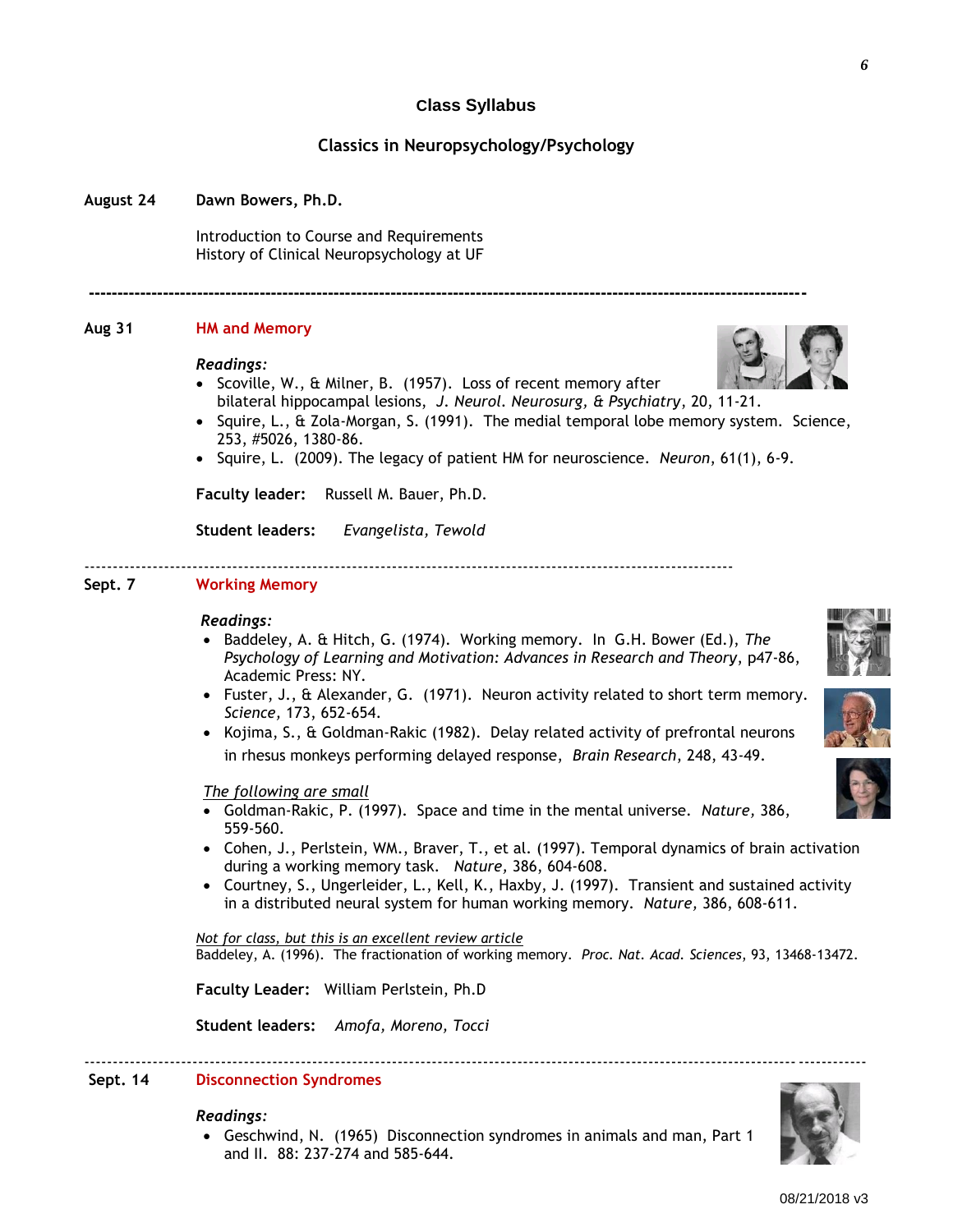Introduction to Course and Requirements

History of Clinical Neuropsychology at UF

#### **Aug 31 HM and Memory**

**August 24 Dawn Bowers, Ph.D.**

#### *Readings:*

• Scoville, W., & Milner, B. (1957). Loss of recent memory after bilateral hippocampal lesions, *J. Neurol. Neurosurg, & Psychiatry*, 20, 11-21.

**------------------------------------------------------------------------------------------------------------------------------**

**Class Syllabus**

**Classics in Neuropsychology/Psychology**

- $\bullet$  Squire, L., & Zola-Morgan, S. (1991). The medial temporal lobe memory system. Science, 253, #5026, 1380-86.
- Squire, L. (2009). The legacy of patient HM for neuroscience. *Neuron*, 61(1), 6-9.

**Faculty leader:** Russell M. Bauer, Ph.D.

**Student leaders:** *Evangelista, Tewold*

------------------------------------------------------------------------------------------------------------------

### **Sept. 7 Working Memory**

#### *Readings:*

- Baddeley, A. & Hitch, G. (1974). Working memory. In G.H. Bower (Ed.), *The Psychology of Learning and Motivation: Advances in Research and Theory*, p47-86, Academic Press: NY.
- Fuster, J.,  $\&$  Alexander, G. (1971). Neuron activity related to short term memory. *Science,* 173, 652-654.
- Kojima, S., & Goldman-Rakic (1982). Delay related activity of prefrontal neurons in rhesus monkeys performing delayed response, *Brain Research*, 248, 43-49.

*The following are small*

- Goldman-Rakic, P. (1997). Space and time in the mental universe. *Nature,* 386, 559-560.
- Cohen, J., Perlstein, WM., Braver, T., et al. (1997). Temporal dynamics of brain activation during a working memory task. *Nature,* 386, 604-608.
- Courtney, S., Ungerleider, L., Kell, K., Haxby, J. (1997). Transient and sustained activity in a distributed neural system for human working memory. *Nature,* 386, 608-611.

*Not for class, but this is an excellent review article*  Baddeley, A. (1996). The fractionation of working memory. *Proc. Nat. Acad. Sciences*, 93, 13468-13472.

-----------------------------------------------------------------------------------------------------------------------------------------

**Faculty Leader:** William Perlstein, Ph.D

**Student leaders:** *Amofa, Moreno, Tocci*

### **Sept. 14 Disconnection Syndromes**

#### *Readings:*

 Geschwind, N. (1965) Disconnection syndromes in animals and man, Part 1 and II. 88: 237-274 and 585-644.





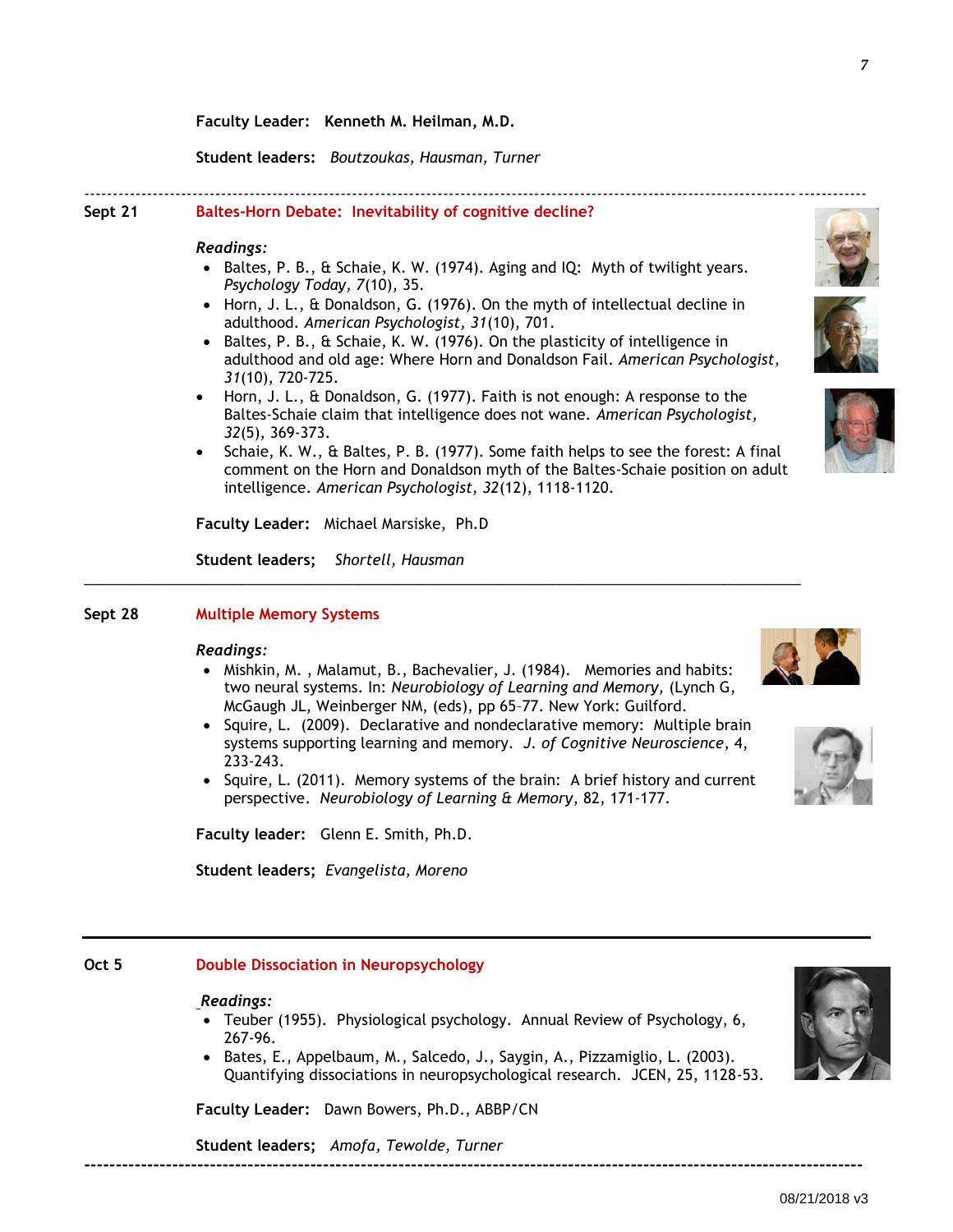**Faculty Leader: Kenneth M. Heilman, M.D.**

**Student leaders:** *Boutzoukas, Hausman, Turner*

# **Sept 21 Baltes-Horn Debate: Inevitability of cognitive decline?**

### *Readings:*

Baltes, P. B.,  $\&$  Schaie, K. W. (1974). Aging and IQ: Myth of twilight years. *Psychology Today, 7*(10), 35.

-----------------------------------------------------------------------------------------------------------------------------------------

- Horn, J. L., & Donaldson, G. (1976). On the myth of intellectual decline in adulthood. *American Psychologist, 31*(10), 701.
- Baltes, P. B., & Schaie, K. W. (1976). On the plasticity of intelligence in adulthood and old age: Where Horn and Donaldson Fail. *American Psychologist, 31*(10), 720-725.
- Horn, J. L., & Donaldson, G. (1977). Faith is not enough: A response to the Baltes-Schaie claim that intelligence does not wane. *American Psychologist, 32*(5), 369-373.
- Schaie, K. W., & Baltes, P. B. (1977). Some faith helps to see the forest: A final comment on the Horn and Donaldson myth of the Baltes-Schaie position on adult intelligence. *American Psychologist, 32*(12), 1118-1120.

**Faculty Leader:** Michael Marsiske, Ph.D

**Student leaders;** *Shortell, Hausman*

### **Sept 28 Multiple Memory Systems**

### *Readings:*

• Mishkin, M., Malamut, B., Bachevalier, J. (1984). Memories and habits: two neural systems. In: *Neurobiology of Learning and Memory,* (Lynch G, McGaugh JL, Weinberger NM, (eds), pp 65–77. New York: Guilford.

\_\_\_\_\_\_\_\_\_\_\_\_\_\_\_\_\_\_\_\_\_\_\_\_\_\_\_\_\_\_\_\_\_\_\_\_\_\_\_\_\_\_\_\_\_\_\_\_\_\_\_\_\_\_\_\_\_\_\_\_\_\_\_\_\_\_\_\_\_\_\_\_\_\_\_\_\_\_\_\_\_\_\_\_\_\_\_\_

- Squire, L. (2009). Declarative and nondeclarative memory: Multiple brain systems supporting learning and memory. *J. of Cognitive Neuroscience*, 4, 233-243.
- Squire, L. (2011). Memory systems of the brain: A brief history and current perspective. *Neurobiology of Learning & Memory*, 82, 171-177.

**Faculty leader:** Glenn E. Smith, Ph.D.

**Student leaders;** *Evangelista, Moreno*

# **Oct 5 Double Dissociation in Neuropsychology**

# *Readings:*

- Teuber (1955). Physiological psychology. Annual Review of Psychology, 6, 267-96.
- Bates, E., Appelbaum, M., Salcedo, J., Saygin, A., Pizzamiglio, L. (2003). Quantifying dissociations in neuropsychological research. JCEN, 25, 1128-53.

**Faculty Leader:** Dawn Bowers, Ph.D., ABBP/CN

**Student leaders;** *Amofa, Tewolde, Turner* **----------------------------------------------------------------------------------------------------------------------------**



08/21/2018 v3







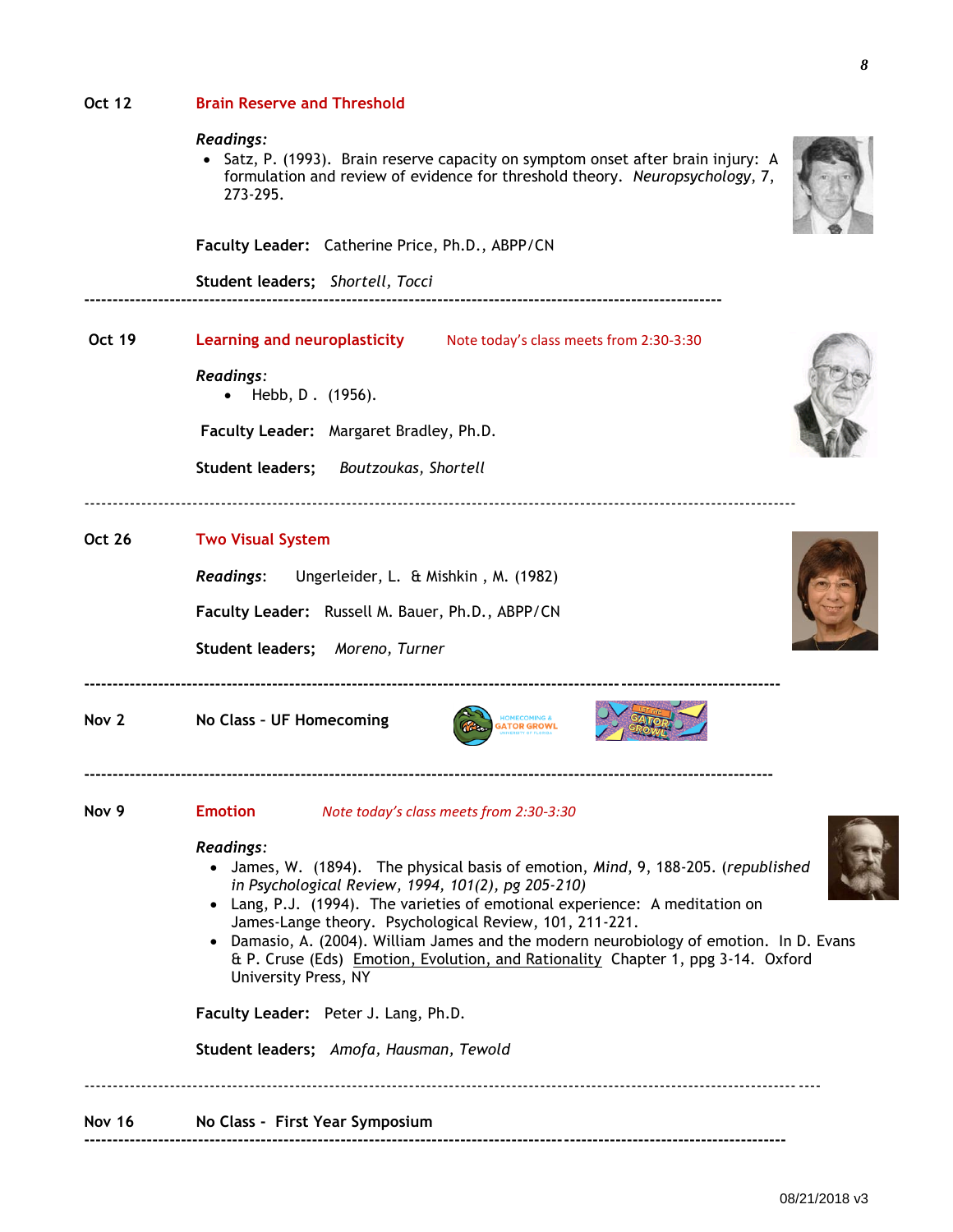| <b>Oct 12</b>    | <b>Brain Reserve and Threshold</b>                                                                                                                                                                                                                                                                                                                                                                                                                                                                                                            |
|------------------|-----------------------------------------------------------------------------------------------------------------------------------------------------------------------------------------------------------------------------------------------------------------------------------------------------------------------------------------------------------------------------------------------------------------------------------------------------------------------------------------------------------------------------------------------|
|                  | Readings:<br>• Satz, P. (1993). Brain reserve capacity on symptom onset after brain injury: A<br>formulation and review of evidence for threshold theory. Neuropsychology, 7,<br>273-295.                                                                                                                                                                                                                                                                                                                                                     |
|                  | Faculty Leader: Catherine Price, Ph.D., ABPP/CN                                                                                                                                                                                                                                                                                                                                                                                                                                                                                               |
|                  | Student leaders; Shortell, Tocci                                                                                                                                                                                                                                                                                                                                                                                                                                                                                                              |
| <b>Oct 19</b>    | Learning and neuroplasticity Mote today's class meets from 2:30-3:30                                                                                                                                                                                                                                                                                                                                                                                                                                                                          |
|                  | Readings:<br>Hebb, D. (1956).                                                                                                                                                                                                                                                                                                                                                                                                                                                                                                                 |
|                  | Faculty Leader: Margaret Bradley, Ph.D.                                                                                                                                                                                                                                                                                                                                                                                                                                                                                                       |
|                  | Student leaders;<br>Boutzoukas, Shortell                                                                                                                                                                                                                                                                                                                                                                                                                                                                                                      |
| <b>Oct 26</b>    | <b>Two Visual System</b>                                                                                                                                                                                                                                                                                                                                                                                                                                                                                                                      |
|                  | <b>Readings:</b><br>Ungerleider, L. & Mishkin, M. (1982)                                                                                                                                                                                                                                                                                                                                                                                                                                                                                      |
|                  | Faculty Leader: Russell M. Bauer, Ph.D., ABPP/CN                                                                                                                                                                                                                                                                                                                                                                                                                                                                                              |
|                  | Student leaders; Moreno, Turner                                                                                                                                                                                                                                                                                                                                                                                                                                                                                                               |
| Nov 2            | <b>IOMECOMING 8</b><br>No Class - UF Homecoming<br><b>GATOR GROWL</b>                                                                                                                                                                                                                                                                                                                                                                                                                                                                         |
| Nov <sub>9</sub> | <b>Emotion</b><br>Note today's class meets from 2:30-3:30                                                                                                                                                                                                                                                                                                                                                                                                                                                                                     |
|                  | Readings:<br>• James, W. (1894). The physical basis of emotion, Mind, 9, 188-205. (republished<br>in Psychological Review, 1994, 101(2), pg 205-210)<br>• Lang, P.J. (1994). The varieties of emotional experience: A meditation on<br>James-Lange theory. Psychological Review, 101, 211-221.<br>• Damasio, A. (2004). William James and the modern neurobiology of emotion. In D. Evans<br>& P. Cruse (Eds) Emotion, Evolution, and Rationality Chapter 1, ppg 3-14. Oxford<br>University Press, NY<br>Faculty Leader: Peter J. Lang, Ph.D. |
|                  | Student leaders; Amofa, Hausman, Tewold                                                                                                                                                                                                                                                                                                                                                                                                                                                                                                       |
| <b>Nov 16</b>    | No Class - First Year Symposium                                                                                                                                                                                                                                                                                                                                                                                                                                                                                                               |